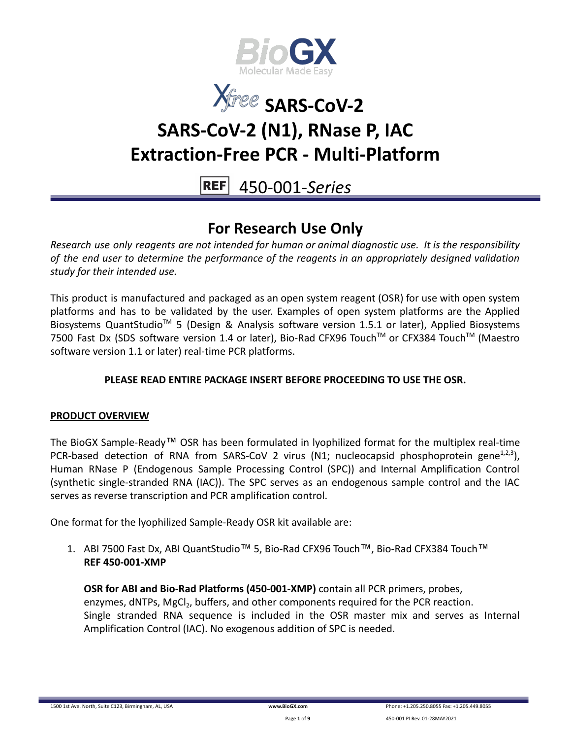



450-001-*Series*

## **For Research Use Only**

*Research use only reagents are not intended for human or animal diagnostic use. It is the responsibility of the end user to determine the performance of the reagents in an appropriately designed validation study for their intended use.*

This product is manufactured and packaged as an open system reagent (OSR) for use with open system platforms and has to be validated by the user. Examples of open system platforms are the Applied Biosystems QuantStudio<sup>™</sup> 5 (Design & Analysis software version 1.5.1 or later), Applied Biosystems 7500 Fast Dx (SDS software version 1.4 or later), Bio-Rad CFX96 Touch™ or CFX384 Touch™ (Maestro software version 1.1 or later) real-time PCR platforms.

### **PLEASE READ ENTIRE PACKAGE INSERT BEFORE PROCEEDING TO USE THE OSR.**

### **PRODUCT OVERVIEW**

The BioGX Sample-Ready™ OSR has been formulated in lyophilized format for the multiplex real-time PCR-based detection of RNA from SARS-CoV 2 virus (N1; nucleocapsid phosphoprotein gene<sup>1,2,3</sup>), Human RNase P (Endogenous Sample Processing Control (SPC)) and Internal Amplification Control (synthetic single-stranded RNA (IAC)). The SPC serves as an endogenous sample control and the IAC serves as reverse transcription and PCR amplification control.

One format for the lyophilized Sample-Ready OSR kit available are:

1. ABI 7500 Fast Dx, ABI QuantStudio™ 5, Bio-Rad CFX96 Touch™, Bio-Rad CFX384 Touch™ **REF 450-001-XMP**

**OSR for ABI and Bio-Rad Platforms (450-001-XMP)** contain all PCR primers, probes, enzymes, dNTPs, MgCl<sub>2</sub>, buffers, and other components required for the PCR reaction. Single stranded RNA sequence is included in the OSR master mix and serves as Internal Amplification Control (IAC). No exogenous addition of SPC is needed.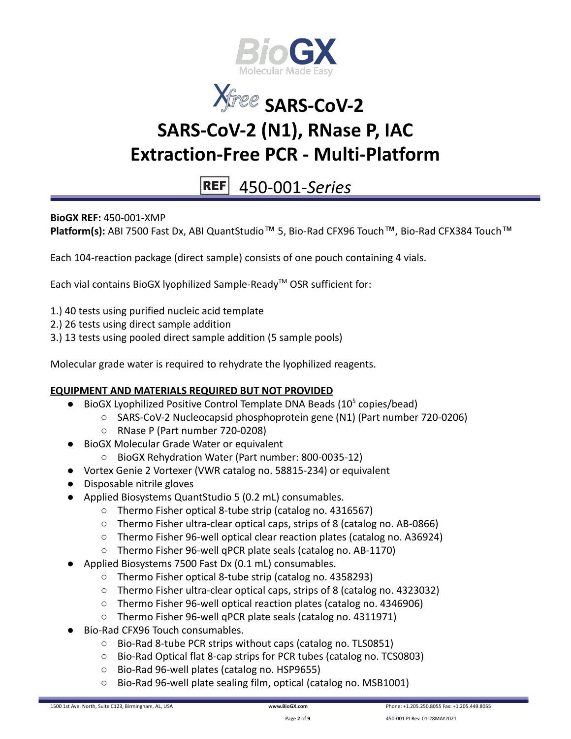



# 450-001-*Series*

**BioGX REF:** 450-001-XMP

Platform(s): ABI 7500 Fast Dx, ABI QuantStudio<sup>™</sup> 5, Bio-Rad CFX96 Touch™, Bio-Rad CFX384 Touch™

Each 104-reaction package (direct sample) consists of one pouch containing 4 vials.

Each vial contains BioGX lyophilized Sample-Ready™ OSR sufficient for:

- 1.) 40 tests using purified nucleic acid template
- 2.) 26 tests using direct sample addition
- 3.) 13 tests using pooled direct sample addition (5 sample pools)

Molecular grade water is required to rehydrate the lyophilized reagents.

#### **EQUIPMENT AND MATERIALS REQUIRED BUT NOT PROVIDED**

- $\bullet$  BioGX Lyophilized Positive Control Template DNA Beads (10<sup>5</sup> copies/bead)
	- SARS-CoV-2 Nucleocapsid phosphoprotein gene (N1) (Part number 720-0206)
	- RNase P (Part number 720-0208)
- BioGX Molecular Grade Water or equivalent
	- BioGX Rehydration Water (Part number: 800-0035-12)
- Vortex Genie 2 Vortexer (VWR catalog no. 58815-234) or equivalent
- Disposable nitrile gloves
- Applied Biosystems QuantStudio 5 (0.2 mL) consumables.
	- Thermo Fisher optical 8-tube strip (catalog no. 4316567)
	- Thermo Fisher ultra-clear optical caps, strips of 8 (catalog no. AB-0866)
	- Thermo Fisher 96-well optical clear reaction plates (catalog no. A36924)
	- Thermo Fisher 96-well qPCR plate seals (catalog no. AB-1170)
- Applied Biosystems 7500 Fast Dx (0.1 mL) consumables.
	- Thermo Fisher optical 8-tube strip (catalog no. 4358293)
	- Thermo Fisher ultra-clear optical caps, strips of 8 (catalog no. 4323032)
	- Thermo Fisher 96-well optical reaction plates (catalog no. 4346906)
	- Thermo Fisher 96-well qPCR plate seals (catalog no. 4311971)
- Bio-Rad CFX96 Touch consumables.
	- Bio-Rad 8-tube PCR strips without caps (catalog no. TLS0851)
	- Bio-Rad Optical flat 8-cap strips for PCR tubes (catalog no. TCS0803)
	- Bio-Rad 96-well plates (catalog no. HSP9655)
	- Bio-Rad 96-well plate sealing film, optical (catalog no. MSB1001)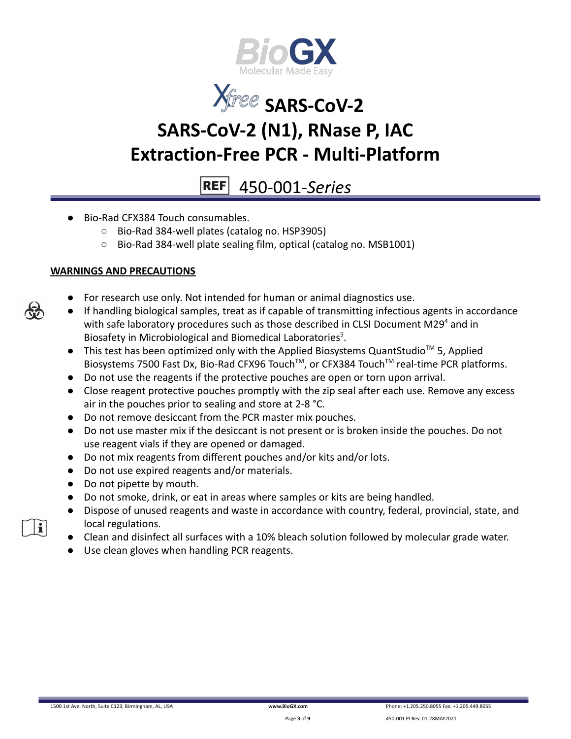



# 450-001-*Series*

- Bio-Rad CFX384 Touch consumables.
	- Bio-Rad 384-well plates (catalog no. HSP3905)
	- Bio-Rad 384-well plate sealing film, optical (catalog no. MSB1001)

### **WARNINGS AND PRECAUTIONS**

- For research use only. Not intended for human or animal diagnostics use.
- If handling biological samples, treat as if capable of transmitting infectious agents in accordance with safe laboratory procedures such as those described in CLSI Document M29<sup>4</sup> and in Biosafety in Microbiological and Biomedical Laboratories<sup>5</sup>.
- This test has been optimized only with the Applied Biosystems QuantStudio<sup>™</sup> 5, Applied Biosystems 7500 Fast Dx, Bio-Rad CFX96 Touch™, or CFX384 Touch™ real-time PCR platforms.
- Do not use the reagents if the protective pouches are open or torn upon arrival.
- Close reagent protective pouches promptly with the zip seal after each use. Remove any excess air in the pouches prior to sealing and store at 2-8 °C.
- Do not remove desiccant from the PCR master mix pouches.
- Do not use master mix if the desiccant is not present or is broken inside the pouches. Do not use reagent vials if they are opened or damaged.
- Do not mix reagents from different pouches and/or kits and/or lots.
- Do not use expired reagents and/or materials.
- Do not pipette by mouth.
- Do not smoke, drink, or eat in areas where samples or kits are being handled.
- Dispose of unused reagents and waste in accordance with country, federal, provincial, state, and local regulations.
- Clean and disinfect all surfaces with a 10% bleach solution followed by molecular grade water.
- Use clean gloves when handling PCR reagents.



i.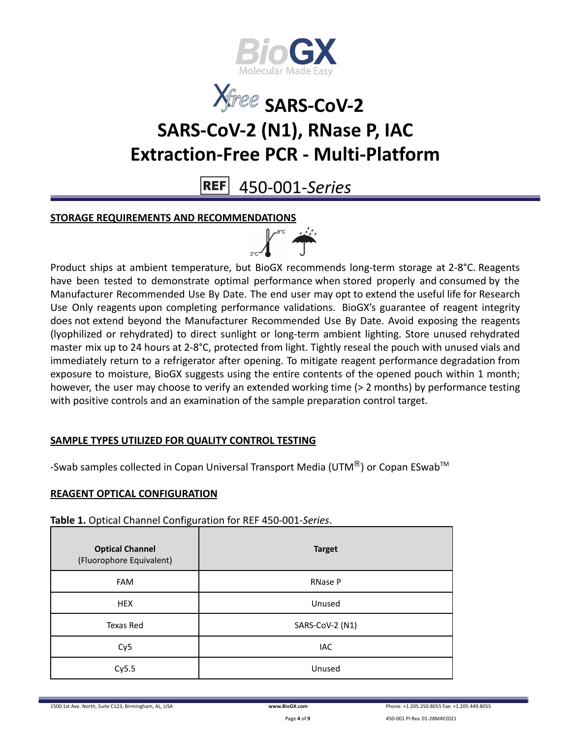



**REF** 450-001-*Series*

### **STORAGE REQUIREMENTS AND RECOMMENDATIONS**



Product ships at ambient temperature, but BioGX recommends long-term storage at 2-8°C. Reagents have been tested to demonstrate optimal performance when stored properly and consumed by the Manufacturer Recommended Use By Date. The end user may opt to extend the useful life for Research Use Only reagents upon completing performance validations. BioGX's guarantee of reagent integrity does not extend beyond the Manufacturer Recommended Use By Date. Avoid exposing the reagents (lyophilized or rehydrated) to direct sunlight or long-term ambient lighting. Store unused rehydrated master mix up to 24 hours at 2-8°C, protected from light. Tightly reseal the pouch with unused vials and immediately return to a refrigerator after opening. To mitigate reagent performance degradation from exposure to moisture, BioGX suggests using the entire contents of the opened pouch within 1 month; however, the user may choose to verify an extended working time (> 2 months) by performance testing with positive controls and an examination of the sample preparation control target.

### **SAMPLE TYPES UTILIZED FOR QUALITY CONTROL TESTING**

-Swab samples collected in Copan Universal Transport Media (UTM $^{\circledR}$ ) or Copan ESwab<sup>TM</sup>

## **REAGENT OPTICAL CONFIGURATION**

**Table 1.** Optical Channel Configuration for REF 450-001-*Series*.

| <b>Optical Channel</b><br>(Fluorophore Equivalent) | <b>Target</b>   |
|----------------------------------------------------|-----------------|
| <b>FAM</b>                                         | <b>RNase P</b>  |
| <b>HEX</b>                                         | Unused          |
| Texas Red                                          | SARS-CoV-2 (N1) |
| Cy <sub>5</sub>                                    | IAC             |
| Cy5.5                                              | Unused          |

1500 1st Ave. North, Suite C123, Birmingham, AL, USA **[www.BioGX.com](http://www.biogx.com/eu)** Phone: +1.205.250.8055 Fax: +1.205.449.8055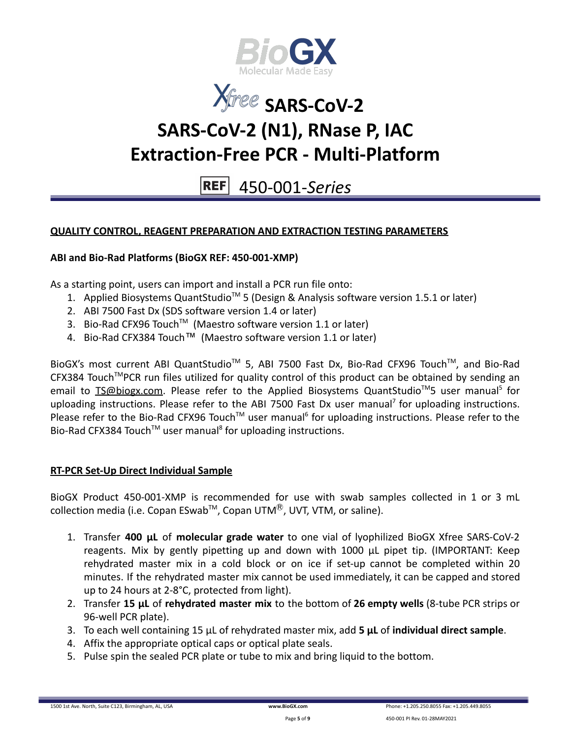



# 450-001-*Series*

## **QUALITY CONTROL, REAGENT PREPARATION AND EXTRACTION TESTING PARAMETERS**

### **ABI and Bio-Rad Platforms (BioGX REF: 450-001-XMP)**

As a starting point, users can import and install a PCR run file onto:

- 1. Applied Biosystems QuantStudio<sup>™</sup> 5 (Design & Analysis software version 1.5.1 or later)
- 2. ABI 7500 Fast Dx (SDS software version 1.4 or later)
- 3. Bio-Rad CFX96 Touch<sup>™</sup> (Maestro software version 1.1 or later)
- 4. Bio-Rad CFX384 Touch™ (Maestro software version 1.1 or later)

BioGX's most current ABI QuantStudio<sup>™</sup> 5, ABI 7500 Fast Dx, Bio-Rad CFX96 Touch™, and Bio-Rad CFX384 Touch™PCR run files utilized for quality control of this product can be obtained by sending an email to **[TS@biogx.com.](mailto:TS@biogx.com)** Please refer to the Applied Biosystems QuantStudio<sup>™</sup>5 user manual<sup>5</sup> for uploading instructions. Please refer to the ABI 7500 Fast Dx user manual<sup>7</sup> for uploading instructions. Please refer to the Bio-Rad CFX96 Touch<sup>™</sup> user manual<sup>6</sup> for uploading instructions. Please refer to the Bio-Rad CFX384 Touch<sup>™</sup> user manual<sup>8</sup> for uploading instructions.

#### **RT-PCR Set-Up Direct Individual Sample**

BioGX Product 450-001-XMP is recommended for use with swab samples collected in 1 or 3 mL collection media (i.e. Copan ESwab<sup>™</sup>, Copan UTM<sup>®</sup>, UVT, VTM, or saline).

- 1. Transfer **400 μL** of **molecular grade water** to one vial of lyophilized BioGX Xfree SARS-CoV-2 reagents. Mix by gently pipetting up and down with 1000 μL pipet tip. (IMPORTANT: Keep rehydrated master mix in a cold block or on ice if set-up cannot be completed within 20 minutes. If the rehydrated master mix cannot be used immediately, it can be capped and stored up to 24 hours at 2-8°C, protected from light).
- 2. Transfer **15 μL** of **rehydrated master mix** to the bottom of **26 empty wells** (8-tube PCR strips or 96-well PCR plate).
- 3. To each well containing 15 μL of rehydrated master mix, add **5 μL** of **individual direct sample**.
- 4. Affix the appropriate optical caps or optical plate seals.
- 5. Pulse spin the sealed PCR plate or tube to mix and bring liquid to the bottom.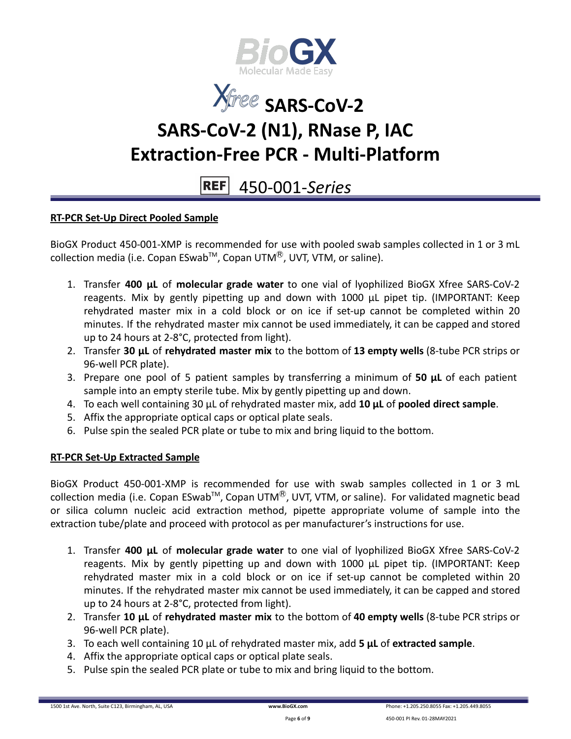



# 450-001-*Series*

### **RT-PCR Set-Up Direct Pooled Sample**

BioGX Product 450-001-XMP is recommended for use with pooled swab samples collected in 1 or 3 mL collection media (i.e. Copan ESwab<sup>™</sup>, Copan UTM<sup>®</sup>, UVT, VTM, or saline).

- 1. Transfer **400 μL** of **molecular grade water** to one vial of lyophilized BioGX Xfree SARS-CoV-2 reagents. Mix by gently pipetting up and down with 1000 μL pipet tip. (IMPORTANT: Keep rehydrated master mix in a cold block or on ice if set-up cannot be completed within 20 minutes. If the rehydrated master mix cannot be used immediately, it can be capped and stored up to 24 hours at 2-8°C, protected from light).
- 2. Transfer **30 μL** of **rehydrated master mix** to the bottom of **13 empty wells** (8-tube PCR strips or 96-well PCR plate).
- 3. Prepare one pool of 5 patient samples by transferring a minimum of **50 μL** of each patient sample into an empty sterile tube. Mix by gently pipetting up and down.
- 4. To each well containing 30 μL of rehydrated master mix, add **10 μL** of **pooled direct sample**.
- 5. Affix the appropriate optical caps or optical plate seals.
- 6. Pulse spin the sealed PCR plate or tube to mix and bring liquid to the bottom.

### **RT-PCR Set-Up Extracted Sample**

BioGX Product 450-001-XMP is recommended for use with swab samples collected in 1 or 3 mL collection media (i.e. Copan ESwab<sup>™</sup>, Copan UTM<sup>®</sup>, UVT, VTM, or saline). For validated magnetic bead or silica column nucleic acid extraction method, pipette appropriate volume of sample into the extraction tube/plate and proceed with protocol as per manufacturer's instructions for use.

- 1. Transfer **400 μL** of **molecular grade water** to one vial of lyophilized BioGX Xfree SARS-CoV-2 reagents. Mix by gently pipetting up and down with 1000 μL pipet tip. (IMPORTANT: Keep rehydrated master mix in a cold block or on ice if set-up cannot be completed within 20 minutes. If the rehydrated master mix cannot be used immediately, it can be capped and stored up to 24 hours at 2-8°C, protected from light).
- 2. Transfer **10 μL** of **rehydrated master mix** to the bottom of **40 empty wells** (8-tube PCR strips or 96-well PCR plate).
- 3. To each well containing 10 μL of rehydrated master mix, add **5 μL** of **extracted sample**.
- 4. Affix the appropriate optical caps or optical plate seals.
- 5. Pulse spin the sealed PCR plate or tube to mix and bring liquid to the bottom.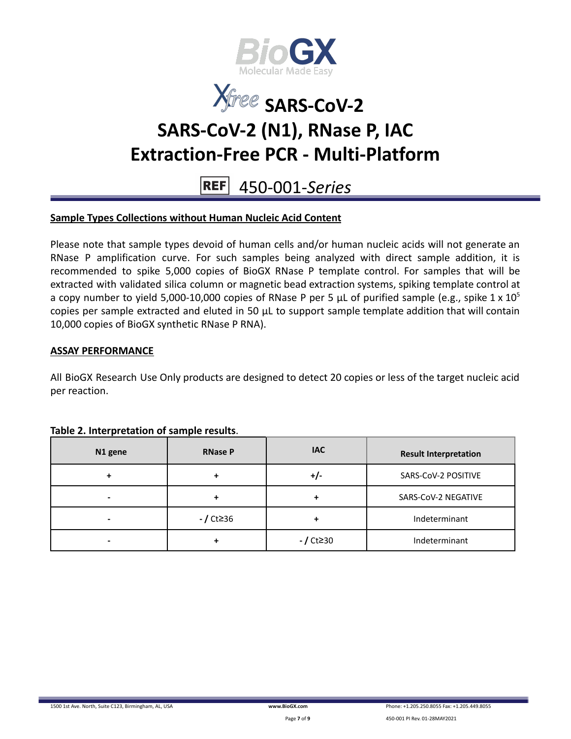



#### **REF** 450-001-*Series*

### **Sample Types Collections without Human Nucleic Acid Content**

Please note that sample types devoid of human cells and/or human nucleic acids will not generate an RNase P amplification curve. For such samples being analyzed with direct sample addition, it is recommended to spike 5,000 copies of BioGX RNase P template control. For samples that will be extracted with validated silica column or magnetic bead extraction systems, spiking template control at a copy number to yield 5,000-10,000 copies of RNase P per 5  $\mu$ L of purified sample (e.g., spike 1 x 10<sup>5</sup>) copies per sample extracted and eluted in 50 μL to support sample template addition that will contain 10,000 copies of BioGX synthetic RNase P RNA).

#### **ASSAY PERFORMANCE**

All BioGX Research Use Only products are designed to detect 20 copies or less of the target nucleic acid per reaction.

| N1 gene | <b>RNase P</b> | <b>IAC</b>  | <b>Result Interpretation</b> |
|---------|----------------|-------------|------------------------------|
|         | ÷              | +/-         | SARS-CoV-2 POSITIVE          |
| -       | ٠              |             | SARS-CoV-2 NEGATIVE          |
| -       | - / Ct≥36      |             | Indeterminant                |
|         | ÷              | $-$ / Ct≥30 | Indeterminant                |

#### **Table 2. Interpretation of sample results**.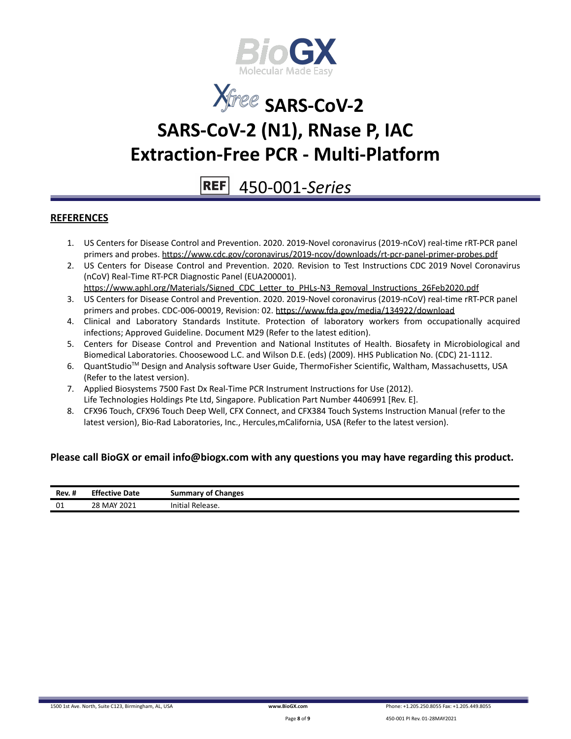



#### **REF** 450-001-*Series*

#### **REFERENCES**

- 1. US Centers for Disease Control and Prevention. 2020. 2019-Novel coronavirus (2019-nCoV) real-time rRT-PCR panel primers and probes. <https://www.cdc.gov/coronavirus/2019-ncov/downloads/rt-pcr-panel-primer-probes.pdf>
- 2. US Centers for Disease Control and Prevention. 2020. Revision to Test Instructions CDC 2019 Novel Coronavirus (nCoV) Real-Time RT-PCR Diagnostic Panel (EUA200001). [https://www.aphl.org/Materials/Signed\\_CDC\\_Letter\\_to\\_PHLs-N3\\_Removal\\_Instructions\\_26Feb2020.pdf](https://www.aphl.org/Materials/Signed_CDC_Letter_to_PHLs-N3_Removal_Instructions_26Feb2020.pdf)
- 3. US Centers for Disease Control and Prevention. 2020. 2019-Novel coronavirus (2019-nCoV) real-time rRT-PCR panel primers and probes. CDC-006-00019, Revision: 02. <https://www.fda.gov/media/134922/download>
- 4. Clinical and Laboratory Standards Institute. Protection of laboratory workers from occupationally acquired infections; Approved Guideline. Document M29 (Refer to the latest edition).
- 5. Centers for Disease Control and Prevention and National Institutes of Health. Biosafety in Microbiological and Biomedical Laboratories. Choosewood L.C. and Wilson D.E. (eds) (2009). HHS Publication No. (CDC) 21-1112.
- 6. QuantStudio<sup>™</sup> Design and Analysis software User Guide, ThermoFisher Scientific, Waltham, Massachusetts, USA (Refer to the latest version).
- 7. Applied Biosystems 7500 Fast Dx Real-Time PCR Instrument Instructions for Use (2012). Life Technologies Holdings Pte Ltd, Singapore. Publication Part Number 4406991 [Rev. E].
- 8. CFX96 Touch, CFX96 Touch Deep Well, CFX Connect, and CFX384 Touch Systems Instruction Manual (refer to the latest version), Bio-Rad Laboratories, Inc., Hercules,mCalifornia, USA (Refer to the latest version).

#### **Please call BioGX or email info@biogx.com with any questions you may have regarding this product.**

| <b>Rev. #</b> | <b>Effective Date</b> | summary of Changes    |
|---------------|-----------------------|-----------------------|
| 01            | 28 MAY 2021           | Initial<br>  Release. |